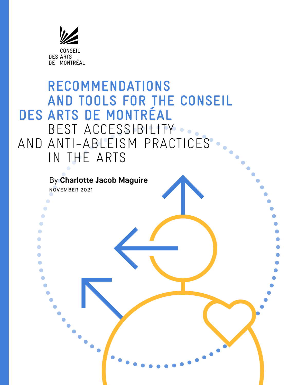

# **RECOMMENDATIONS AND TOOLS FOR THE CONSEIL<br>DES ARTS DE MONTRÉAL DES ARTS DE MONTRÉAL<br>BEST ACCESSIBILITY** AND ANTI-ABLEISM PRACTICES IN THE ARTS By **Charlotte Jacob Maguire** NOVEMBER 2021 $\bullet$ O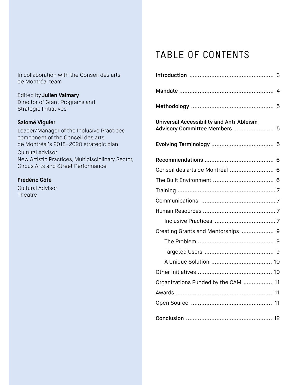#### In collaboration with the Conseil des arts de Montréal team

Edited by **Julien Valmary** Director of Grant Programs and Strategic Initiatives

#### **Salomé Viguier**

Leader/Manager of the Inclusive Practices component of the Conseil des arts de Montréal's 2018–2020 strategic plan

Cultural Advisor New Artistic Practices, Multidisciplinary Sector, Circus Arts and Street Performance

#### **Frédéric Côté**

Cultural Advisor **Theatre** 

## TABLE OF CONTENTS

|                                                                                  | 4 |
|----------------------------------------------------------------------------------|---|
|                                                                                  |   |
| <b>Universal Accessibility and Anti-Ableism</b><br>Advisory Committee Members  5 |   |
|                                                                                  |   |
|                                                                                  |   |
| Conseil des arts de Montréal  6                                                  |   |
|                                                                                  |   |
|                                                                                  |   |
|                                                                                  |   |
|                                                                                  |   |
|                                                                                  |   |
| Creating Grants and Mentorships  9                                               |   |
|                                                                                  |   |
|                                                                                  |   |
|                                                                                  |   |
|                                                                                  |   |
| Organizations Funded by the CAM  11                                              |   |
|                                                                                  |   |
|                                                                                  |   |
|                                                                                  |   |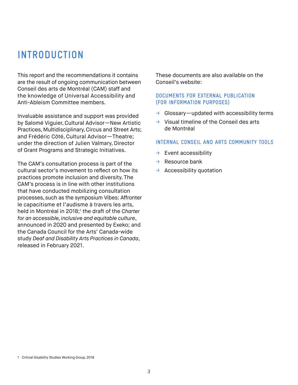### **INTRODUCTION**

This report and the recommendations it contains are the result of ongoing communication between Conseil des arts de Montréal (CAM) staff and the knowledge of Universal Accessibility and Anti-Ableism Committee members.

Invaluable assistance and support was provided by Salomé Viguier, Cultural Advisor—New Artistic Practices, Multidisciplinary, Circus and Street Arts; and Frédéric Côté, Cultural Advisor—Theatre; under the direction of Julien Valmary, Director of Grant Programs and Strategic Initiatives.

The CAM's consultation process is part of the cultural sector's movement to reflect on how its practices promote inclusion and diversity. The CAM's process is in line with other institutions that have conducted mobilizing consultation processes, such as the symposium Vibes: Affronter le capacitisme et l'audisme à travers les arts, held in Montréal in 2018;<sup>1</sup> the draft of the Charter *for an accessible, inclusive and equitable culture*, announced in 2020 and presented by Exeko; and the Canada Council for the Arts' Canada-wide study *Deaf and Disability Arts Practices in Canada*, released in February 2021.

These documents are also available on the Conseil's website:

#### **DOCUMENTS FOR EXTERNAL PUBLICATION (FOR INFORMATION PURPOSES)**

- $\rightarrow$  Glossary—updated with accessibility terms
- $\rightarrow$  Visual timeline of the Conseil des arts de Montréal

#### **INTERNAL CONSEIL AND ARTS COMMUNITY TOOLS**

- $\rightarrow$  Event accessibility
- $\rightarrow$  Resource bank
- $\rightarrow$  Accessibility quotation

<sup>1</sup> Critical Disability Studies Working Group, 2018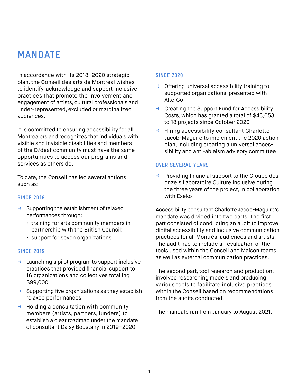### **MANDATE**

In accordance with its 2018–2020 strategic plan, the Conseil des arts de Montréal wishes to identify, acknowledge and support inclusive practices that promote the involvement and engagement of artists, cultural professionals and under-represented, excluded or marginalized audiences.

It is committed to ensuring accessibility for all Montrealers and recognizes that individuals with visible and invisible disabilities and members of the D/deaf community must have the same opportunities to access our programs and services as others do.

To date, the Conseil has led several actions, such as:

#### **SINCE 2018**

- → Supporting the establishment of relaxed performances through:
	- training for arts community members in partnership with the British Council;
	- support for seven organizations.

#### **SINCE 2019**

- $\rightarrow$  Launching a pilot program to support inclusive practices that provided financial support to 16 organizations and collectives totalling \$99,000
- $\rightarrow$  Supporting five organizations as they establish relaxed performances
- $\rightarrow$  Holding a consultation with community members (artists, partners, funders) to establish a clear roadmap under the mandate of consultant Daisy Boustany in 2019–2020

#### **SINCE 2020**

- $\rightarrow$  Offering universal accessibility training to supported organizations, presented with AlterGo
- $\rightarrow$  Creating the Support Fund for Accessibility Costs, which has granted a total of \$43,053 to 18 projects since October 2020
- $\rightarrow$  Hiring accessibility consultant Charlotte Jacob-Maguire to implement the 2020 action plan, including creating a universal accessibility and anti-ableism advisory committee

#### **OVER SEVERAL YEARS**

 $\rightarrow$  Providing financial support to the Groupe des onze's Laboratoire Culture Inclusive during the three years of the project, in collaboration with Exeko

Accessibility consultant Charlotte Jacob-Maguire's mandate was divided into two parts. The first part consisted of conducting an audit to improve digital accessibility and inclusive communication practices for all Montréal audiences and artists. The audit had to include an evaluation of the tools used within the Conseil and Maison teams, as well as external communication practices.

The second part, tool research and production, involved researching models and producing various tools to facilitate inclusive practices within the Conseil based on recommendations from the audits conducted.

The mandate ran from January to August 2021.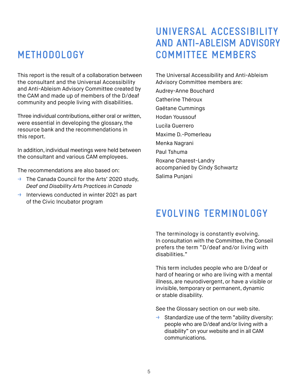### **METHODOLOGY**

This report is the result of a collaboration between the consultant and the Universal Accessibility and Anti-Ableism Advisory Committee created by the CAM and made up of members of the D/deaf community and people living with disabilities.

Three individual contributions, either oral or written, were essential in developing the glossary, the resource bank and the recommendations in this report.

In addition, individual meetings were held between the consultant and various CAM employees.

The recommendations are also based on:

- $\rightarrow$  The Canada Council for the Arts' 2020 study, *Deaf and Disability Arts Practices in Canada*
- → Interviews conducted in winter 2021 as part of the Civic Incubator program

### **UNIVERSAL ACCESSIBILITY AND ANTI-ABLEISM ADVISORY COMMITTEE MEMBERS**

The Universal Accessibility and Anti-Ableism Advisory Committee members are:

Audrey-Anne Bouchard Catherine Théroux Gaëtane Cummings Hodan Youssouf Lucila Guerrero Maxime D.-Pomerleau Menka Nagrani Paul Tshuma Roxane Charest-Landry accompanied by Cindy Schwartz Salima Punjani

### **EVOLVING TERMINOLOGY**

The terminology is constantly evolving. In consultation with the Committee, the Conseil prefers the term "D/deaf and/or living with disabilities."

This term includes people who are D/deaf or hard of hearing or who are living with a mental illness, are neurodivergent, or have a visible or invisible, temporary or permanent, dynamic or stable disability.

See the Glossary section on our web site.

 $\rightarrow$  Standardize use of the term "ability diversity: people who are D/deaf and/or living with a disability" on your website and in all CAM communications.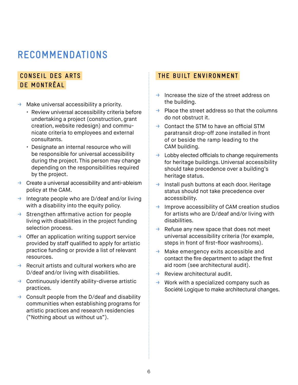### **RECOMMENDATIONS**

### **CONSEIL DES ARTS DE MONTRÉAL**

- $\rightarrow$  Make universal accessibility a priority.
	- Review universal accessibility criteria before undertaking a project (construction, grant creation, website redesign) and communicate criteria to employees and external consultants.
	- Designate an internal resource who will be responsible for universal accessibility during the project. This person may change depending on the responsibilities required by the project.
- $\rightarrow$  Create a universal accessibility and anti-ableism policy at the CAM.
- → Integrate people who are D/deaf and/or living with a disability into the equity policy.
- $\rightarrow$  Strengthen affirmative action for people living with disabilities in the project funding selection process.
- $\rightarrow$  Offer an application writing support service provided by staff qualified to apply for artistic practice funding or provide a list of relevant resources.
- $\rightarrow$  Recruit artists and cultural workers who are D/deaf and/or living with disabilities.
- $\rightarrow$  Continuously identify ability-diverse artistic practices.
- $\rightarrow$  Consult people from the D/deaf and disability communities when establishing programs for artistic practices and research residencies ("Nothing about us without us").

#### **THE BUILT ENVIRONMENT**

- $\rightarrow$  Increase the size of the street address on the building.
- $\rightarrow$  Place the street address so that the columns do not obstruct it.
- $\rightarrow$  Contact the STM to have an official STM paratransit drop-off zone installed in front of or beside the ramp leading to the CAM building.
- $\rightarrow$  Lobby elected officials to change requirements for heritage buildings. Universal accessibility should take precedence over a building's heritage status.
- → Install push buttons at each door. Heritage status should not take precedence over accessibility.
- $\rightarrow$  Improve accessibility of CAM creation studios for artists who are D/deaf and/or living with disabilities.
- $\rightarrow$  Refuse any new space that does not meet universal accessibility criteria (for example, steps in front of first-floor washrooms).
- $\rightarrow$  Make emergency exits accessible and contact the fire department to adapt the first aid room (see architectural audit).
- $\rightarrow$  Review architectural audit.
- $\rightarrow$  Work with a specialized company such as Société Logique to make architectural changes.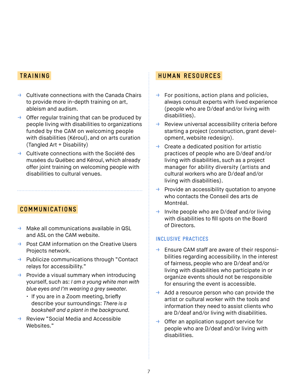#### **TRAINING**

- $\rightarrow$  Cultivate connections with the Canada Chairs to provide more in-depth training on art, ableism and audism.
- $\rightarrow$  Offer regular training that can be produced by people living with disabilities to organizations funded by the CAM on welcoming people with disabilities (Kéroul), and on arts curation (Tangled Art + Disability)
- → Cultivate connections with the Société des musées du Québec and Kéroul, which already offer joint training on welcoming people with disabilities to cultural venues.

#### **COMMUNICATIONS**

- $\rightarrow$  Make all communications available in QSL and ASL on the CAM website.
- $\rightarrow$  Post CAM information on the Creative Users Projects network.
- → Publicize communications through "Contact relays for accessibility."
- $\rightarrow$  Provide a visual summary when introducing yourself, such as: *I am a young white man with blue eyes and I'm wearing a grey sweater.*
	- If you are in a Zoom meeting, briefly describe your surroundings: *There is a bookshelf and a plant in the background.*
- Review "Social Media and Accessible Websites."

#### **HUMAN RESOURCES**

- $\rightarrow$  For positions, action plans and policies, always consult experts with lived experience (people who are D/deaf and/or living with disabilities).
- $\rightarrow$  Review universal accessibility criteria before starting a project (construction, grant development, website redesign).
- $\rightarrow$  Create a dedicated position for artistic practices of people who are D/deaf and/or living with disabilities, such as a project manager for ability diversity (artists and cultural workers who are D/deaf and/or living with disabilities).
- $\rightarrow$  Provide an accessibility quotation to anyone who contacts the Conseil des arts de Montréal.
- $\rightarrow$  Invite people who are D/deaf and/or living with disabilities to fill spots on the Board of Directors.

#### **INCLUSIVE PRACTICES**

- $\rightarrow$  Ensure CAM staff are aware of their responsibilities regarding accessibility. In the interest of fairness, people who are D/deaf and/or living with disabilities who participate in or organize events should not be responsible for ensuring the event is accessible.
- $\rightarrow$  Add a resource person who can provide the artist or cultural worker with the tools and information they need to assist clients who are D/deaf and/or living with disabilities.
- $\rightarrow$  Offer an application support service for people who are D/deaf and/or living with disabilities.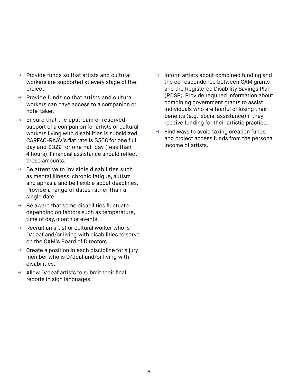- $\rightarrow$  Provide funds so that artists and cultural workers are supported at every stage of the project.
- $\rightarrow$  Provide funds so that artists and cultural workers can have access to a companion or note-taker.
- $\rightarrow$  Ensure that the upstream or reserved support of a companion for artists or cultural workers living with disabilities is subsidized. CARFAC-RAAV's flat rate is \$568 for one full day and \$322 for one half day (less than 4 hours). Financial assistance should reflect these amounts.
- $\rightarrow$  Be attentive to invisible disabilities such as mental illness, chronic fatigue, autism and aphasia and be flexible about deadlines. Provide a range of dates rather than a single date.
- $\rightarrow$  Be aware that some disabilities fluctuate depending on factors such as temperature, time of day, month or events.
- $\rightarrow$  Recruit an artist or cultural worker who is D/deaf and/or living with disabilities to serve on the CAM's Board of Directors.
- $\rightarrow$  Create a position in each discipline for a jury member who is D/deaf and/or living with disabilities.
- $\rightarrow$  Allow D/deaf artists to submit their final reports in sign languages.
- $\rightarrow$  Inform artists about combined funding and the correspondence between CAM grants and the Registered Disability Savings Plan (RDSP). Provide required information about combining government grants to assist individuals who are fearful of losing their benefits (e.g., social assistance) if they receive funding for their artistic practice.
- $\rightarrow$  Find ways to avoid taxing creation funds and project access funds from the personal income of artists.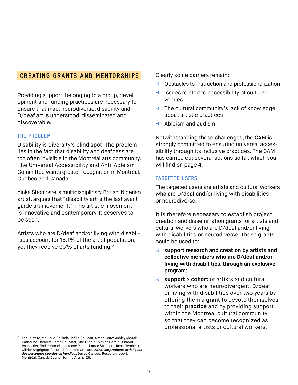#### **CREATING GRANTS AND MENTORSHIPS**

Providing support, belonging to a group, development and funding practices are necessary to ensure that mad, neurodiverse, disability and D/deaf art is understood, disseminated and discoverable.

#### **THE PROBLEM**

Disability is diversity's blind spot. The problem lies in the fact that disability and deafness are too often invisible in the Montréal arts community. The Universal Accessibility and Anti-Ableism Committee wants greater recognition in Montréal, Quebec and Canada.

Yinka Shonibare, a multidisciplinary British-Nigerian artist, argues that "disability art is the last avantgarde art movement." This artistic movement is innovative and contemporary. It deserves to be seen.

Artists who are D/deaf and/or living with disabilities account for 15.1% of the artist population, yet they receive 0.7% of arts funding.2

2 Leduc, Véro, Mouloud Boukala, Joëlle Rouleau, Aimee Louw, Ashley McAskill, Catherine Théroux, Sarah Heussaff, Line Grenier, Mélina Bernier, Shandi Bouscatier, Élodie Marcelli, Laurence Parent, Darren Saunders, Tamar Tembeck, Olivier Angrignon-Girouard, Carolyne Grimard, 2020. *Les pratiques artistiques des personnes sourdes ou handicapées au Canada*. Research report. Montréal: Canada Council for the Arts, p. 26.

Clearly some barriers remain:

- $\rightarrow$  Obstacles to instruction and professionalization
- → Issues related to accessibility of cultural venues
- $\rightarrow$  The cultural community's lack of knowledge about artistic practices
- $\rightarrow$  Ableism and audism

Notwithstanding these challenges, the CAM is strongly committed to ensuring universal accessibility through its inclusive practices. The CAM has carried out several actions so far, which you will find on page 4.

#### **TARGETED USERS**

The targeted users are artists and cultural workers who are D/deaf and/or living with disabilities or neurodiverse.

It is therefore necessary to establish project creation and dissemination grants for artists and cultural workers who are D/deaf and/or living with disabilities or neurodiverse. These grants could be used to:

- → **support research and creation by artists and collective members who are D/deaf and/or living with disabilities, through an exclusive program;**
- → **support** a **cohort** of artists and cultural workers who are neurodivergent, D/deaf or living with disabilities over two years by offering them a **grant** to devote themselves to their **practice** and by providing support within the Montréal cultural community so that they can become recognized as professional artists or cultural workers.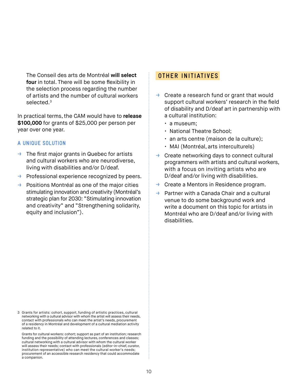The Conseil des arts de Montréal **will select four** in total. There will be some flexibility in the selection process regarding the number of artists and the number of cultural workers selected.<sup>3</sup>

In practical terms, the CAM would have to **release \$100,000** for grants of \$25,000 per person per year over one year.

#### **A UNIQUE SOLUTION**

- $\rightarrow$  The first major grants in Quebec for artists and cultural workers who are neurodiverse, living with disabilities and/or D/deaf.
- $\rightarrow$  Professional experience recognized by peers.
- $\rightarrow$  Positions Montréal as one of the major cities stimulating innovation and creativity (Montréal's strategic plan for 2030: "Stimulating innovation and creativity" and "Strengthening solidarity, equity and inclusion").

#### **OTHER INITIATIVES**

- $\rightarrow$  Create a research fund or grant that would support cultural workers' research in the field of disability and D/deaf art in partnership with a cultural institution:
	- a museum;
	- National Theatre School;
	- an arts centre (maison de la culture);
	- MAI (Montréal, arts interculturels)
- $\rightarrow$  Create networking days to connect cultural programmers with artists and cultural workers, with a focus on inviting artists who are D/deaf and/or living with disabilities.
- Create a Mentors in Residence program.
- $\rightarrow$  Partner with a Canada Chair and a cultural venue to do some background work and write a document on this topic for artists in Montréal who are D/deaf and/or living with disabilities.

3 Grants for artists: cohort, support, funding of artistic practices, cultural networking with a cultural advisor with whom the artist will assess their needs, contact with professionals who can meet the artist's needs, procurement of a residency in Montréal and development of a cultural mediation activity related to it.

Grants for cultural workers: cohort; support as part of an institution; research funding and the possibility of attending lectures, conferences and classes; cultural networking with a cultural advisor with whom the cultural worker will assess their needs; contact with professionals (editor-in-chief, curator, institution representative) who can meet the cultural worker's needs; procurement of an accessible research residency that could accommodate a companion.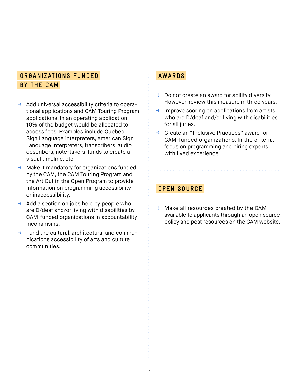#### **ORGANIZATIONS FUNDED AWARDS BY THE CAM**

- $\rightarrow$  Add universal accessibility criteria to operational applications and CAM Touring Program applications. In an operating application, 10% of the budget would be allocated to access fees. Examples include Quebec Sign Language interpreters, American Sign Language interpreters, transcribers, audio describers, note-takers, funds to create a visual timeline, etc.
- → Make it mandatory for organizations funded by the CAM, the CAM Touring Program and the Art Out in the Open Program to provide information on programming accessibility or inaccessibility.
- $\rightarrow$  Add a section on jobs held by people who are D/deaf and/or living with disabilities by CAM-funded organizations in accountability mechanisms.
- $\rightarrow$  Fund the cultural, architectural and communications accessibility of arts and culture communities.

- $\rightarrow$  Do not create an award for ability diversity. However, review this measure in three years.
- $\rightarrow$  Improve scoring on applications from artists who are D/deaf and/or living with disabilities for all juries.
- → Create an "Inclusive Practices" award for CAM-funded organizations. In the criteria, focus on programming and hiring experts with lived experience.

#### **OPEN SOURCE**

 $\rightarrow$  Make all resources created by the CAM available to applicants through an open source policy and post resources on the CAM website.